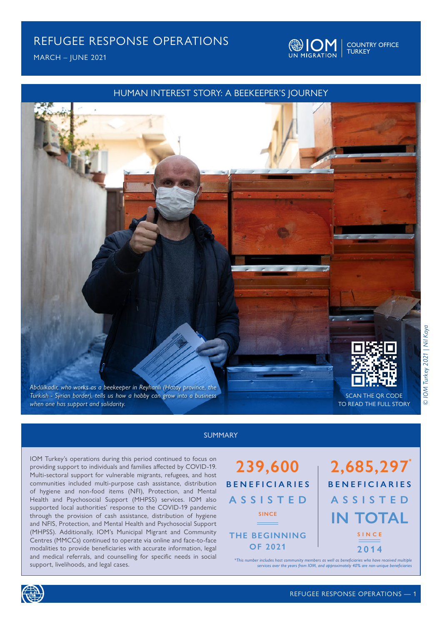MARCH – JUNE 2021



COUNTRY OFFICE TURKEY

### HUMAN INTEREST STORY: A BEEKEEPER'S JOURNEY



#### SUMMARY

IOM Turkey's operations during this period continued to focus on providing support to individuals and families affected by COVID-19. Multi-sectoral support for vulnerable migrants, refugees, and host communities included multi-purpose cash assistance, distribution of hygiene and non-food items (NFI), Protection, and Mental Health and Psychosocial Support (MHPSS) services. IOM also supported local authorities' response to the COVID-19 pandemic through the provision of cash assistance, distribution of hygiene and NFIS, Protection, and Mental Health and Psychosocial Support (MHPSS). Additionally, IOM's Municipal Migrant and Community Centres (MMCCs) continued to operate via online and face-to-face modalities to provide beneficiaries with accurate information, legal and medical referrals, and counselling for specific needs in social support, livelihoods, and legal cases.



# **2,685,297 IN TOTAL BENEFICIARIES ASSISTED SINCE 2014**

*\*This number includes host community members as well as beneficiaries who have received multiple services over the years from IOM, and approximately 40% are non-unique beneficiaries*

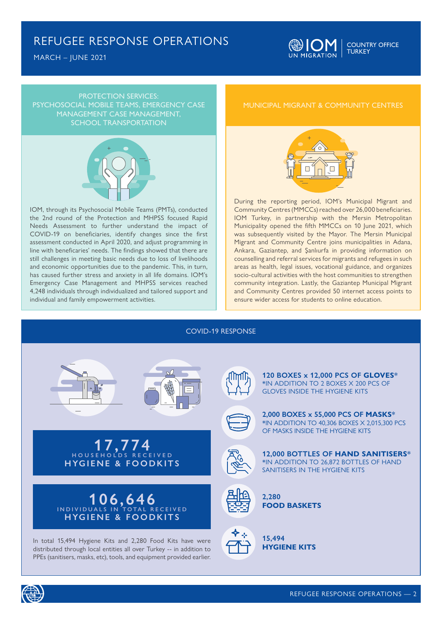MARCH – JUNE 2021



PROTECTION SERVICES: PSYCHOSOCIAL MOBILE TEAMS, EMERGENCY CASE MANAGEMENT CASE MANAGEMENT, SCHOOL TRANSPORTATION



IOM, through its Psychosocial Mobile Teams (PMTs), conducted the 2nd round of the Protection and MHPSS focused Rapid Needs Assessment to further understand the impact of COVID-19 on beneficiaries, identify changes since the first assessment conducted in April 2020, and adjust programming in line with beneficaries' needs. The findings showed that there are still challenges in meeting basic needs due to loss of livelihoods and economic opportunities due to the pandemic. This, in turn, has caused further stress and anxiety in all life domains. IOM's Emergency Case Management and MHPSS services reached 4,248 individuals through individualized and tailored support and individual and family empowerment activities.

#### MUNICIPAL MIGRANT & COMMUNITY CENTRES



During the reporting period, IOM's Municipal Migrant and Community Centres (MMCCs) reached over 26,000 beneficiaries. IOM Turkey, in partnership with the Mersin Metropolitan Municipality opened the fifth MMCCs on 10 June 2021, which was subsequently visited by the Mayor. The Mersin Municipal Migrant and Community Centre joins municipalities in Adana, Ankara, Gaziantep, and Şanlıurfa in providing information on counselling and referral services for migrants and refugees in such areas as health, legal issues, vocational guidance, and organizes socio-cultural activities with the host communities to strengthen community integration. Lastly, the Gaziantep Municipal Migrant and Community Centres provided 50 internet access points to ensure wider access for students to online education.











In total 15,494 Hygiene Kits and 2,280 Food Kits have were distributed through local entities all over Turkey -- in addition to PPEs (sanitisers, masks, etc), tools, and equipment provided earlier.





**2,000 BOXES x 55,000 PCS OF MASKS\*** \*IN ADDITION TO 40,306 BOXES X 2,015,300 PCS OF MASKS INSIDE THE HYGIENE KITS



**12,000 BOTTLES OF HAND SANITISERS\*** \*IN ADDITION TO 26,872 BOTTLES OF HAND SANITISERS IN THE HYGIENE KITS



**2,280 FOOD BASKETS**



**15,494 HYGIENE KITS**

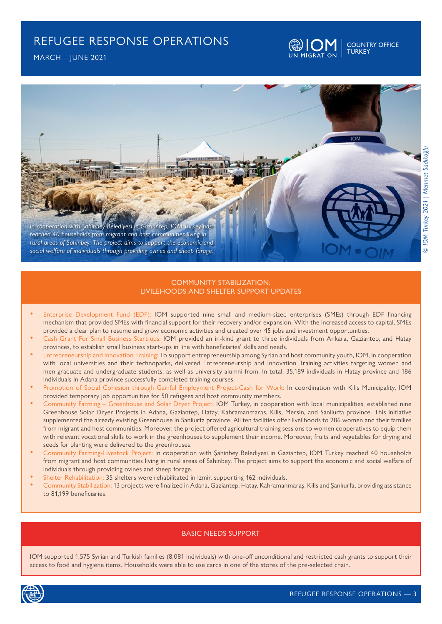



#### COMMUNITY STABILIZATION: LIVILEHOODS AND SHELTER SUPPORT UPDATES

- Enterprise Development Fund (EDF): IOM supported nine small and medium-sized enterprises (SMEs) through EDF financing mechanism that provided SMEs with financial support for their recovery and/or expansion. With the increased access to capital, SMEs provided a clear plan to resume and grow economic activities and created over 45 jobs and investment opportunities.
- Cash Grant For Small Business Start-ups: IOM provided an in-kind grant to three individuals from Ankara, Gaziantep, and Hatay provinces, to establish small business start-ups in line with beneficiaries' skills and needs.
- Entrepreneurship and Innovation Training: To support entrepreneurship among Syrian and host community youth, IOM, in cooperation with local universities and their technoparks, delivered Entrepreneurship and Innovation Training activities targeting women and men graduate and undergraduate students, as well as university alumni-from. In total, 35,189 individuals in Hatay province and 186 individuals in Adana province successfully completed training courses.
- Promotion of Social Cohesion through Gainful Employment Project-Cash for Work: In coordination with Kilis Municipality, IOM provided temporary job opportunities for 50 refugees and host community members.
- Community Farming Greenhouse and Solar Dryer Project: IOM Turkey, in cooperation with local municipalities, established nine Greenhouse Solar Dryer Projects in Adana, Gaziantep, Hatay, Kahramanmaras, Kilis, Mersin, and Sanliurfa province. This initiative supplemented the already existing Greenhouse in Sanliurfa province. All ten facilities offer livelihoods to 286 women and their families from migrant and host communities. Moreover, the project offered agricultural training sessions to women cooperatives to equip them with relevant vocational skills to work in the greenhouses to supplement their income. Moreover, fruits and vegetables for drying and seeds for planting were delivered to the greenhouses.
- Community Farming-Livestock Project: In cooperation with Şahinbey Belediyesi in Gaziantep, IOM Turkey reached 40 households from migrant and host communities living in rural areas of Sahinbey. The project aims to support the economic and social welfare of individuals through providing ovines and sheep forage.
- Shelter Rehabilitation: 35 shelters were rehabilitated in Izmir, supporting 162 individuals.
- Community Stabilization: 13 projects were finalized in Adana, Gaziantep, Hatay, Kahramanmaraş, Kilis and Şanlıurfa, providing assistance to 81,199 beneficiaries.

#### BASIC NEEDS SUPPORT

IOM supported 1,575 Syrian and Turkish families (8,081 individuals) with one-off unconditional and restricted cash grants to support their access to food and hygiene items. Households were able to use cards in one of the stores of the pre-selected chain.

COUNTRY OFFICE

TURKEY